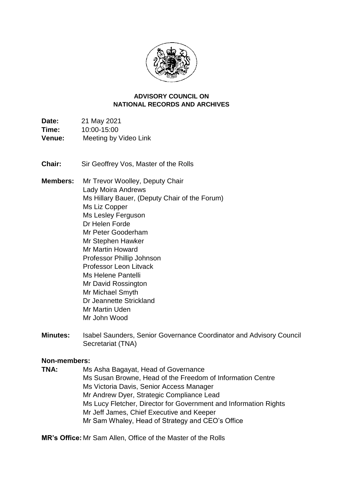

#### **NATIONAL RECORDS AND ARCHIVES ADVISORY COUNCIL ON**

Time: **Date:** 21 May 2021 **Time:** 10:00-15:00 **Venue:** Meeting by Video Link

**Chair:** Sir Geoffrey Vos, Master of the Rolls

**Members:** Mr Trevor Woolley, Deputy Chair Lady Moira Andrews Ms Hillary Bauer, (Deputy Chair of the Forum) Ms Liz Copper Ms Lesley Ferguson Dr Helen Forde Mr Peter Gooderham Mr Stephen Hawker Mr Martin Howard Professor Phillip Johnson Professor Leon Litvack Ms Helene Pantelli Mr David Rossington Mr Michael Smyth Dr Jeannette Strickland Mr Martin Uden Mr John Wood

**Minutes:** Isabel Saunders, Senior Governance Coordinator and Advisory Council Secretariat (TNA)

#### **Non-members:**

**TNA:** Ms Asha Bagayat, Head of Governance Ms Susan Browne, Head of the Freedom of Information Centre Ms Victoria Davis, Senior Access Manager Mr Andrew Dyer, Strategic Compliance Lead Ms Lucy Fletcher, Director for Government and Information Rights Mr Jeff James, Chief Executive and Keeper Mr Sam Whaley, Head of Strategy and CEO's Office

**MR's Office:** Mr Sam Allen, Office of the Master of the Rolls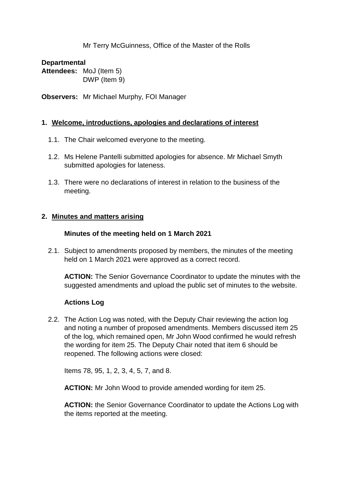Mr Terry McGuinness, Office of the Master of the Rolls

#### **Departmental**

**Attendees:** MoJ (Item 5) DWP (Item 9)

**Observers:** Mr Michael Murphy, FOI Manager

#### **1. Welcome, introductions, apologies and declarations of interest**

- 1.1. The Chair welcomed everyone to the meeting.
- 1.2. Ms Helene Pantelli submitted apologies for absence. Mr Michael Smyth submitted apologies for lateness.
- 1.3. There were no declarations of interest in relation to the business of the meeting.

#### **2. Minutes and matters arising**

#### **Minutes of the meeting held on 1 March 2021**

2.1. Subject to amendments proposed by members, the minutes of the meeting held on 1 March 2021 were approved as a correct record.

**ACTION:** The Senior Governance Coordinator to update the minutes with the suggested amendments and upload the public set of minutes to the website.

# **Actions Log**

 and noting a number of proposed amendments. Members discussed item 25 2.2. The Action Log was noted, with the Deputy Chair reviewing the action log of the log, which remained open, Mr John Wood confirmed he would refresh the wording for item 25. The Deputy Chair noted that item 6 should be reopened. The following actions were closed:

Items 78, 95, 1, 2, 3, 4, 5, 7, and 8.

**ACTION:** Mr John Wood to provide amended wording for item 25.

 the items reported at the meeting. **ACTION:** the Senior Governance Coordinator to update the Actions Log with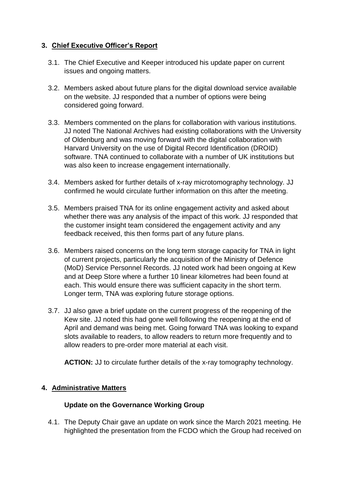# **3. Chief Executive Officer's Report**

- 3.1. The Chief Executive and Keeper introduced his update paper on current issues and ongoing matters.
- 3.2. Members asked about future plans for the digital download service available on the website. JJ responded that a number of options were being considered going forward.
- 3.3. Members commented on the plans for collaboration with various institutions. JJ noted The National Archives had existing collaborations with the University of Oldenburg and was moving forward with the digital collaboration with Harvard University on the use of Digital Record Identification (DROID) software. TNA continued to collaborate with a number of UK institutions but was also keen to increase engagement internationally.
- 3.4. Members asked for further details of x-ray microtomography technology. JJ confirmed he would circulate further information on this after the meeting.
- 3.5. Members praised TNA for its online engagement activity and asked about whether there was any analysis of the impact of this work. JJ responded that the customer insight team considered the engagement activity and any feedback received, this then forms part of any future plans.
- and at Deep Store where a further 10 linear kilometres had been found at 3.6. Members raised concerns on the long term storage capacity for TNA in light of current projects, particularly the acquisition of the Ministry of Defence (MoD) Service Personnel Records. JJ noted work had been ongoing at Kew each. This would ensure there was sufficient capacity in the short term. Longer term, TNA was exploring future storage options.
- 3.7. JJ also gave a brief update on the current progress of the reopening of the Kew site. JJ noted this had gone well following the reopening at the end of slots available to readers, to allow readers to return more frequently and to April and demand was being met. Going forward TNA was looking to expand allow readers to pre-order more material at each visit.

**ACTION:** JJ to circulate further details of the x-ray tomography technology.

# **4. Administrative Matters**

# **Update on the Governance Working Group**

4.1. The Deputy Chair gave an update on work since the March 2021 meeting. He highlighted the presentation from the FCDO which the Group had received on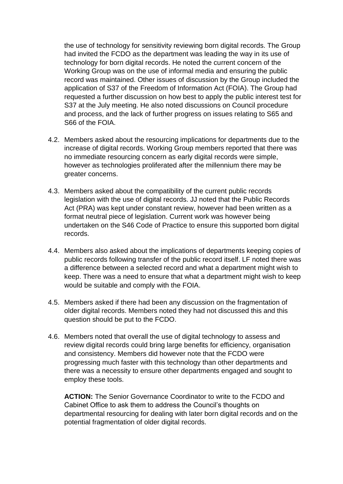the use of technology for sensitivity reviewing born digital records. The Group Working Group was on the use of informal media and ensuring the public application of S37 of the Freedom of Information Act (FOIA). The Group had requested a further discussion on how best to apply the public interest test for had invited the FCDO as the department was leading the way in its use of technology for born digital records. He noted the current concern of the record was maintained. Other issues of discussion by the Group included the S37 at the July meeting. He also noted discussions on Council procedure and process, and the lack of further progress on issues relating to S65 and S66 of the FOIA.

- 4.2. Members asked about the resourcing implications for departments due to the increase of digital records. Working Group members reported that there was no immediate resourcing concern as early digital records were simple, however as technologies proliferated after the millennium there may be greater concerns.
- format neutral piece of legislation. Current work was however being 4.3. Members asked about the compatibility of the current public records legislation with the use of digital records. JJ noted that the Public Records Act (PRA) was kept under constant review, however had been written as a undertaken on the S46 Code of Practice to ensure this supported born digital records.
- 4.4. Members also asked about the implications of departments keeping copies of public records following transfer of the public record itself. LF noted there was a difference between a selected record and what a department might wish to keep. There was a need to ensure that what a department might wish to keep would be suitable and comply with the FOIA.
- 4.5. Members asked if there had been any discussion on the fragmentation of older digital records. Members noted they had not discussed this and this question should be put to the FCDO.
- 4.6. Members noted that overall the use of digital technology to assess and employ these tools. review digital records could bring large benefits for efficiency, organisation and consistency. Members did however note that the FCDO were progressing much faster with this technology than other departments and there was a necessity to ensure other departments engaged and sought to

**ACTION:** The Senior Governance Coordinator to write to the FCDO and Cabinet Office to ask them to address the Council's thoughts on departmental resourcing for dealing with later born digital records and on the potential fragmentation of older digital records.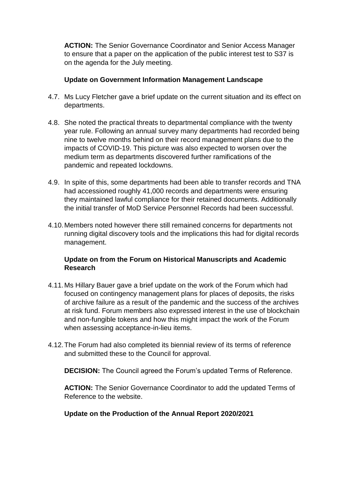to ensure that a paper on the application of the public interest test to S37 is on the agenda for the July meeting. **ACTION:** The Senior Governance Coordinator and Senior Access Manager

#### **Update on Government Information Management Landscape**

- 4.7. Ms Lucy Fletcher gave a brief update on the current situation and its effect on departments.
- 4.8. She noted the practical threats to departmental compliance with the twenty nine to twelve months behind on their record management plans due to the medium term as departments discovered further ramifications of the year rule. Following an annual survey many departments had recorded being impacts of COVID-19. This picture was also expected to worsen over the pandemic and repeated lockdowns.
- 4.9. In spite of this, some departments had been able to transfer records and TNA had accessioned roughly 41,000 records and departments were ensuring they maintained lawful compliance for their retained documents. Additionally the initial transfer of MoD Service Personnel Records had been successful.
- management. 4.10.Members noted however there still remained concerns for departments not running digital discovery tools and the implications this had for digital records

# **Update on from the Forum on Historical Manuscripts and Academic Research**

- of archive failure as a result of the pandemic and the success of the archives and non-fungible tokens and how this might impact the work of the Forum 4.11.Ms Hillary Bauer gave a brief update on the work of the Forum which had focused on contingency management plans for places of deposits, the risks at risk fund. Forum members also expressed interest in the use of blockchain when assessing acceptance-in-lieu items.
- 4.12.The Forum had also completed its biennial review of its terms of reference and submitted these to the Council for approval.

**DECISION:** The Council agreed the Forum's updated Terms of Reference.

**ACTION:** The Senior Governance Coordinator to add the updated Terms of Reference to the website.

#### **Update on the Production of the Annual Report 2020/2021**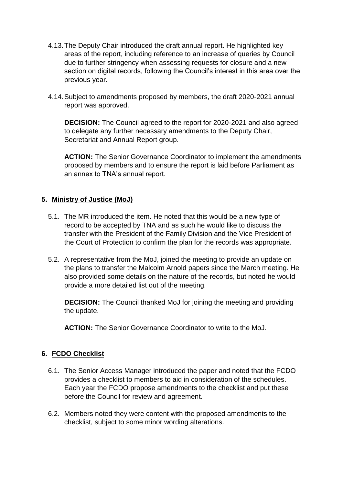- 4.13.The Deputy Chair introduced the draft annual report. He highlighted key due to further stringency when assessing requests for closure and a new section on digital records, following the Council's interest in this area over the areas of the report, including reference to an increase of queries by Council previous year.
- 4.14.Subject to amendments proposed by members, the draft 2020-2021 annual report was approved.

**DECISION:** The Council agreed to the report for 2020-2021 and also agreed to delegate any further necessary amendments to the Deputy Chair, Secretariat and Annual Report group.

 proposed by members and to ensure the report is laid before Parliament as **ACTION:** The Senior Governance Coordinator to implement the amendments an annex to TNA's annual report.

# **5. Ministry of Justice (MoJ)**

- 5.1. The MR introduced the item. He noted that this would be a new type of record to be accepted by TNA and as such he would like to discuss the the Court of Protection to confirm the plan for the records was appropriate. transfer with the President of the Family Division and the Vice President of
- 5.2. A representative from the MoJ, joined the meeting to provide an update on the plans to transfer the Malcolm Arnold papers since the March meeting. He also provided some details on the nature of the records, but noted he would provide a more detailed list out of the meeting.

**DECISION:** The Council thanked MoJ for joining the meeting and providing the update.

**ACTION:** The Senior Governance Coordinator to write to the MoJ.

# **6. FCDO Checklist**

- 6.1. The Senior Access Manager introduced the paper and noted that the FCDO Each year the FCDO propose amendments to the checklist and put these provides a checklist to members to aid in consideration of the schedules. before the Council for review and agreement.
- checklist, subject to some minor wording alterations. 6.2. Members noted they were content with the proposed amendments to the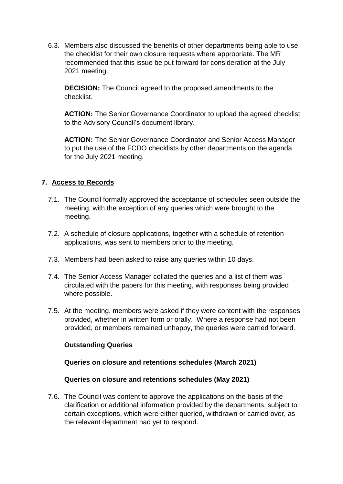6.3. Members also discussed the benefits of other departments being able to use recommended that this issue be put forward for consideration at the July the checklist for their own closure requests where appropriate. The MR 2021 meeting.

**DECISION:** The Council agreed to the proposed amendments to the checklist.

**ACTION:** The Senior Governance Coordinator to upload the agreed checklist to the Advisory Council's document library.

 to put the use of the FCDO checklists by other departments on the agenda **ACTION:** The Senior Governance Coordinator and Senior Access Manager for the July 2021 meeting.

# **7. Access to Records**

- 7.1. The Council formally approved the acceptance of schedules seen outside the meeting, with the exception of any queries which were brought to the meeting.
- 7.2. A schedule of closure applications, together with a schedule of retention applications, was sent to members prior to the meeting.
- 7.3. Members had been asked to raise any queries within 10 days.
- 7.4. The Senior Access Manager collated the queries and a list of them was circulated with the papers for this meeting, with responses being provided where possible.
- 7.5. At the meeting, members were asked if they were content with the responses provided, whether in written form or orally. Where a response had not been provided, or members remained unhappy, the queries were carried forward.

# **Outstanding Queries**

# **Queries on closure and retentions schedules (March 2021)**

# **Queries on closure and retentions schedules (May 2021)**

 7.6. The Council was content to approve the applications on the basis of the clarification or additional information provided by the departments, subject to certain exceptions, which were either queried, withdrawn or carried over, as the relevant department had yet to respond.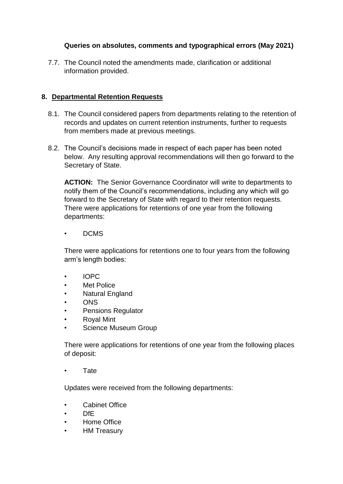# **Queries on absolutes, comments and typographical errors (May 2021)**

7.7. The Council noted the amendments made, clarification or additional information provided.

#### **8. Departmental Retention Requests**

- 8.1. The Council considered papers from departments relating to the retention of records and updates on current retention instruments, further to requests from members made at previous meetings.
- below. Any resulting approval recommendations will then go forward to the 8.2. The Council's decisions made in respect of each paper has been noted Secretary of State.

 **ACTION:** The Senior Governance Coordinator will write to departments to There were applications for retentions of one year from the following notify them of the Council's recommendations, including any which will go forward to the Secretary of State with regard to their retention requests. departments:

• DCMS

 There were applications for retentions one to four years from the following arm's length bodies:

- IOPC
- **Met Police**
- Natural England
- ONS
- Pensions Regulator
- Royal Mint
- Science Museum Group

There were applications for retentions of one year from the following places of deposit:

• Tate

Updates were received from the following departments:

- Cabinet Office
- DfE
- Home Office
- HM Treasury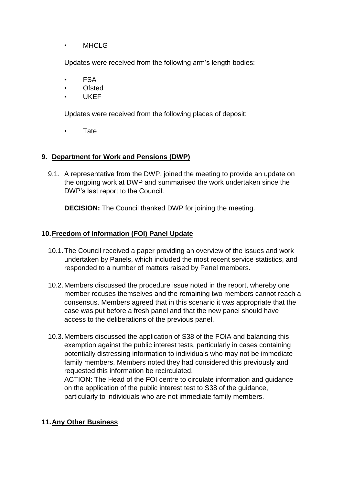• MHCLG

Updates were received from the following arm's length bodies:

- FSA
- **Ofsted**
- UKEF

Updates were received from the following places of deposit:

**Tate** 

#### **9. Department for Work and Pensions (DWP)**

 the ongoing work at DWP and summarised the work undertaken since the 9.1. A representative from the DWP, joined the meeting to provide an update on DWP's last report to the Council.

**DECISION:** The Council thanked DWP for joining the meeting.

# **10.Freedom of Information (FOI) Panel Update**

- 10.1.The Council received a paper providing an overview of the issues and work undertaken by Panels, which included the most recent service statistics, and responded to a number of matters raised by Panel members.
- 10.2.Members discussed the procedure issue noted in the report, whereby one member recuses themselves and the remaining two members cannot reach a consensus. Members agreed that in this scenario it was appropriate that the case was put before a fresh panel and that the new panel should have access to the deliberations of the previous panel.
- 10.3.Members discussed the application of S38 of the FOIA and balancing this exemption against the public interest tests, particularly in cases containing potentially distressing information to individuals who may not be immediate family members. Members noted they had considered this previously and requested this information be recirculated. ACTION: The Head of the FOI centre to circulate information and guidance

 on the application of the public interest test to S38 of the guidance, particularly to individuals who are not immediate family members.

# **11.Any Other Business**